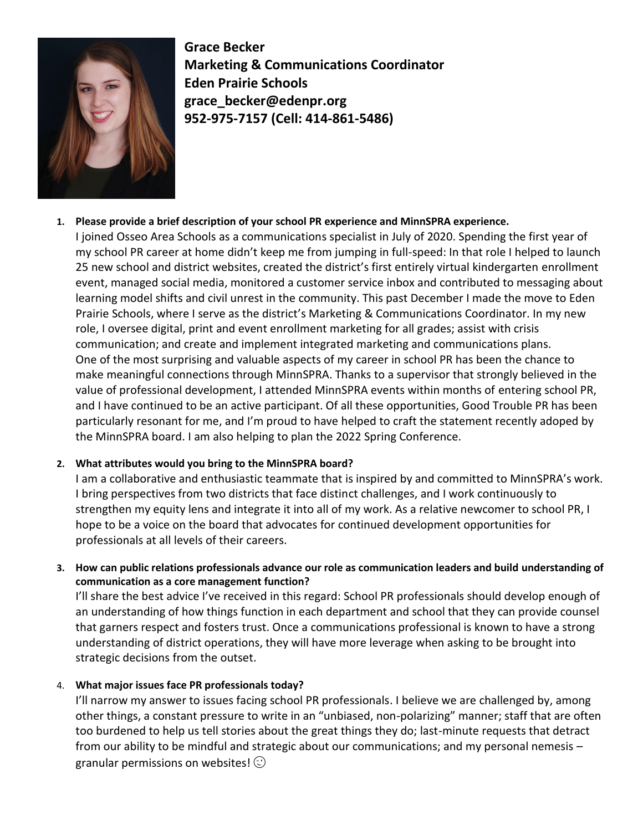

**Grace Becker Marketing & Communications Coordinator Eden Prairie Schools grace\_becker@edenpr.org 952-975-7157 (Cell: 414-861-5486)**

#### **1. Please provide a brief description of your school PR experience and MinnSPRA experience.**

I joined Osseo Area Schools as a communications specialist in July of 2020. Spending the first year of my school PR career at home didn't keep me from jumping in full-speed: In that role I helped to launch 25 new school and district websites, created the district's first entirely virtual kindergarten enrollment event, managed social media, monitored a customer service inbox and contributed to messaging about learning model shifts and civil unrest in the community. This past December I made the move to Eden Prairie Schools, where I serve as the district's Marketing & Communications Coordinator. In my new role, I oversee digital, print and event enrollment marketing for all grades; assist with crisis communication; and create and implement integrated marketing and communications plans. One of the most surprising and valuable aspects of my career in school PR has been the chance to make meaningful connections through MinnSPRA. Thanks to a supervisor that strongly believed in the value of professional development, I attended MinnSPRA events within months of entering school PR, and I have continued to be an active participant. Of all these opportunities, Good Trouble PR has been particularly resonant for me, and I'm proud to have helped to craft the statement recently adoped by the MinnSPRA board. I am also helping to plan the 2022 Spring Conference.

#### **2. What attributes would you bring to the MinnSPRA board?**

I am a collaborative and enthusiastic teammate that is inspired by and committed to MinnSPRA's work. I bring perspectives from two districts that face distinct challenges, and I work continuously to strengthen my equity lens and integrate it into all of my work. As a relative newcomer to school PR, I hope to be a voice on the board that advocates for continued development opportunities for professionals at all levels of their careers.

**3. How can public relations professionals advance our role as communication leaders and build understanding of communication as a core management function?**

I'll share the best advice I've received in this regard: School PR professionals should develop enough of an understanding of how things function in each department and school that they can provide counsel that garners respect and fosters trust. Once a communications professional is known to have a strong understanding of district operations, they will have more leverage when asking to be brought into strategic decisions from the outset.

#### 4. **What major issues face PR professionals today?**

I'll narrow my answer to issues facing school PR professionals. I believe we are challenged by, among other things, a constant pressure to write in an "unbiased, non-polarizing" manner; staff that are often too burdened to help us tell stories about the great things they do; last-minute requests that detract from our ability to be mindful and strategic about our communications; and my personal nemesis – granular permissions on websites!  $\odot$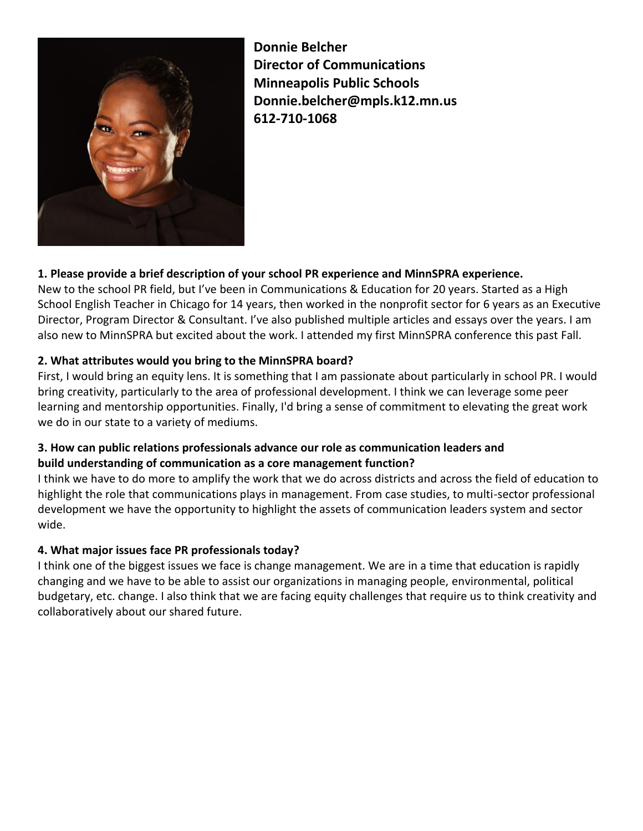

**Donnie Belcher Director of Communications Minneapolis Public Schools Donnie.belcher@mpls.k12.mn.us 612-710-1068**

# **1. Please provide a brief description of your school PR experience and MinnSPRA experience.**

New to the school PR field, but I've been in Communications & Education for 20 years. Started as a High School English Teacher in Chicago for 14 years, then worked in the nonprofit sector for 6 years as an Executive Director, Program Director & Consultant. I've also published multiple articles and essays over the years. I am also new to MinnSPRA but excited about the work. I attended my first MinnSPRA conference this past Fall.

# **2. What attributes would you bring to the MinnSPRA board?**

First, I would bring an equity lens. It is something that I am passionate about particularly in school PR. I would bring creativity, particularly to the area of professional development. I think we can leverage some peer learning and mentorship opportunities. Finally, I'd bring a sense of commitment to elevating the great work we do in our state to a variety of mediums.

# **3. How can public relations professionals advance our role as communication leaders and build understanding of communication as a core management function?**

I think we have to do more to amplify the work that we do across districts and across the field of education to highlight the role that communications plays in management. From case studies, to multi-sector professional development we have the opportunity to highlight the assets of communication leaders system and sector wide.

# **4. What major issues face PR professionals today?**

I think one of the biggest issues we face is change management. We are in a time that education is rapidly changing and we have to be able to assist our organizations in managing people, environmental, political budgetary, etc. change. I also think that we are facing equity challenges that require us to think creativity and collaboratively about our shared future.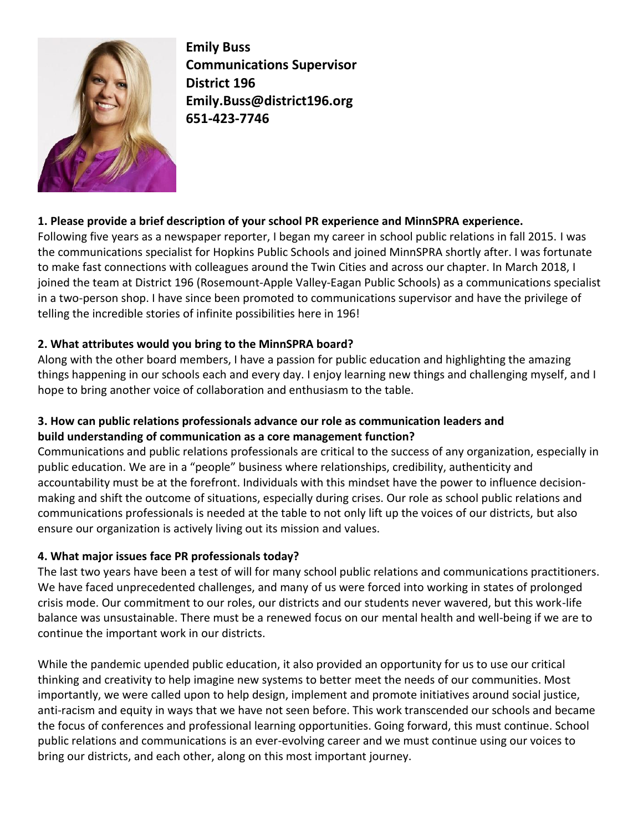

**Emily Buss Communications Supervisor District 196 Emily.Buss@district196.org 651-423-7746**

### **1. Please provide a brief description of your school PR experience and MinnSPRA experience.**

Following five years as a newspaper reporter, I began my career in school public relations in fall 2015. I was the communications specialist for Hopkins Public Schools and joined MinnSPRA shortly after. I was fortunate to make fast connections with colleagues around the Twin Cities and across our chapter. In March 2018, I joined the team at District 196 (Rosemount-Apple Valley-Eagan Public Schools) as a communications specialist in a two-person shop. I have since been promoted to communications supervisor and have the privilege of telling the incredible stories of infinite possibilities here in 196!

### **2. What attributes would you bring to the MinnSPRA board?**

Along with the other board members, I have a passion for public education and highlighting the amazing things happening in our schools each and every day. I enjoy learning new things and challenging myself, and I hope to bring another voice of collaboration and enthusiasm to the table.

# **3. How can public relations professionals advance our role as communication leaders and build understanding of communication as a core management function?**

Communications and public relations professionals are critical to the success of any organization, especially in public education. We are in a "people" business where relationships, credibility, authenticity and accountability must be at the forefront. Individuals with this mindset have the power to influence decisionmaking and shift the outcome of situations, especially during crises. Our role as school public relations and communications professionals is needed at the table to not only lift up the voices of our districts, but also ensure our organization is actively living out its mission and values.

#### **4. What major issues face PR professionals today?**

The last two years have been a test of will for many school public relations and communications practitioners. We have faced unprecedented challenges, and many of us were forced into working in states of prolonged crisis mode. Our commitment to our roles, our districts and our students never wavered, but this work-life balance was unsustainable. There must be a renewed focus on our mental health and well-being if we are to continue the important work in our districts.

While the pandemic upended public education, it also provided an opportunity for us to use our critical thinking and creativity to help imagine new systems to better meet the needs of our communities. Most importantly, we were called upon to help design, implement and promote initiatives around social justice, anti-racism and equity in ways that we have not seen before. This work transcended our schools and became the focus of conferences and professional learning opportunities. Going forward, this must continue. School public relations and communications is an ever-evolving career and we must continue using our voices to bring our districts, and each other, along on this most important journey.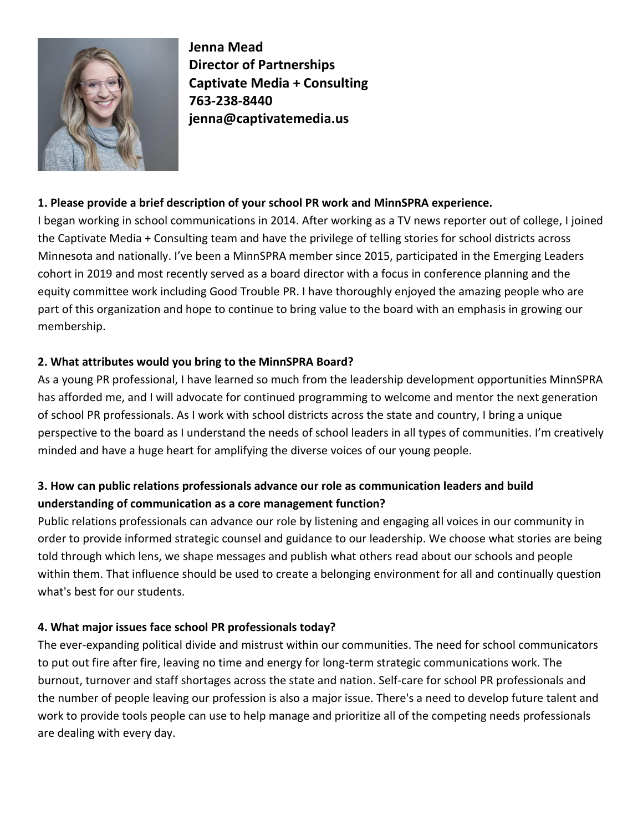

**Jenna Mead Director of Partnerships Captivate Media + Consulting 763-238-8440 jenna@captivatemedia.us** 

### **1. Please provide a brief description of your school PR work and MinnSPRA experience.**

I began working in school communications in 2014. After working as a TV news reporter out of college, I joined the Captivate Media + Consulting team and have the privilege of telling stories for school districts across Minnesota and nationally. I've been a MinnSPRA member since 2015, participated in the Emerging Leaders cohort in 2019 and most recently served as a board director with a focus in conference planning and the equity committee work including Good Trouble PR. I have thoroughly enjoyed the amazing people who are part of this organization and hope to continue to bring value to the board with an emphasis in growing our membership.

### **2. What attributes would you bring to the MinnSPRA Board?**

As a young PR professional, I have learned so much from the leadership development opportunities MinnSPRA has afforded me, and I will advocate for continued programming to welcome and mentor the next generation of school PR professionals. As I work with school districts across the state and country, I bring a unique perspective to the board as I understand the needs of school leaders in all types of communities. I'm creatively minded and have a huge heart for amplifying the diverse voices of our young people.

# **3. How can public relations professionals advance our role as communication leaders and build understanding of communication as a core management function?**

Public relations professionals can advance our role by listening and engaging all voices in our community in order to provide informed strategic counsel and guidance to our leadership. We choose what stories are being told through which lens, we shape messages and publish what others read about our schools and people within them. That influence should be used to create a belonging environment for all and continually question what's best for our students.

# **4. What major issues face school PR professionals today?**

The ever-expanding political divide and mistrust within our communities. The need for school communicators to put out fire after fire, leaving no time and energy for long-term strategic communications work. The burnout, turnover and staff shortages across the state and nation. Self-care for school PR professionals and the number of people leaving our profession is also a major issue. There's a need to develop future talent and work to provide tools people can use to help manage and prioritize all of the competing needs professionals are dealing with every day.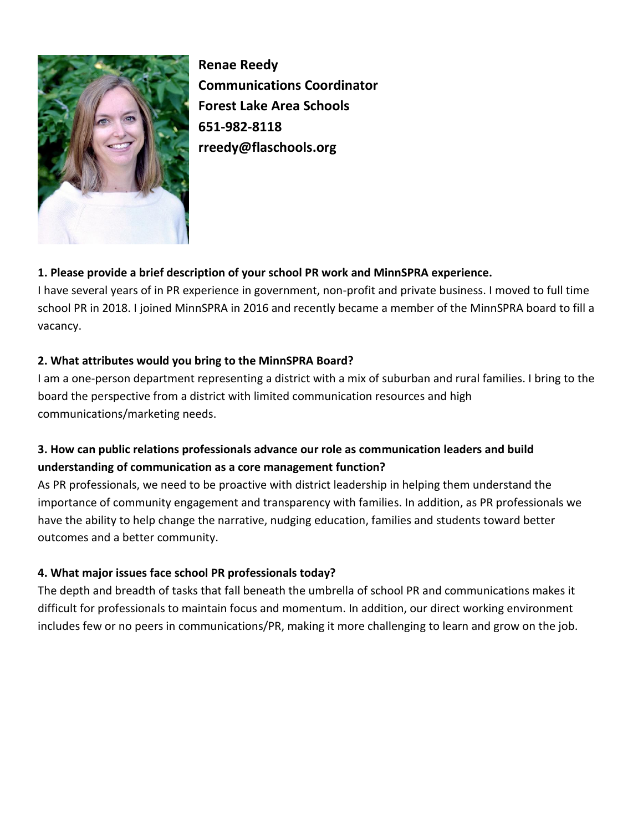

**Renae Reedy Communications Coordinator Forest Lake Area Schools 651-982-8118 rreedy@flaschools.org**

# **1. Please provide a brief description of your school PR work and MinnSPRA experience.**

I have several years of in PR experience in government, non-profit and private business. I moved to full time school PR in 2018. I joined MinnSPRA in 2016 and recently became a member of the MinnSPRA board to fill a vacancy.

### **2. What attributes would you bring to the MinnSPRA Board?**

I am a one-person department representing a district with a mix of suburban and rural families. I bring to the board the perspective from a district with limited communication resources and high communications/marketing needs.

# **3. How can public relations professionals advance our role as communication leaders and build understanding of communication as a core management function?**

As PR professionals, we need to be proactive with district leadership in helping them understand the importance of community engagement and transparency with families. In addition, as PR professionals we have the ability to help change the narrative, nudging education, families and students toward better outcomes and a better community.

#### **4. What major issues face school PR professionals today?**

The depth and breadth of tasks that fall beneath the umbrella of school PR and communications makes it difficult for professionals to maintain focus and momentum. In addition, our direct working environment includes few or no peers in communications/PR, making it more challenging to learn and grow on the job.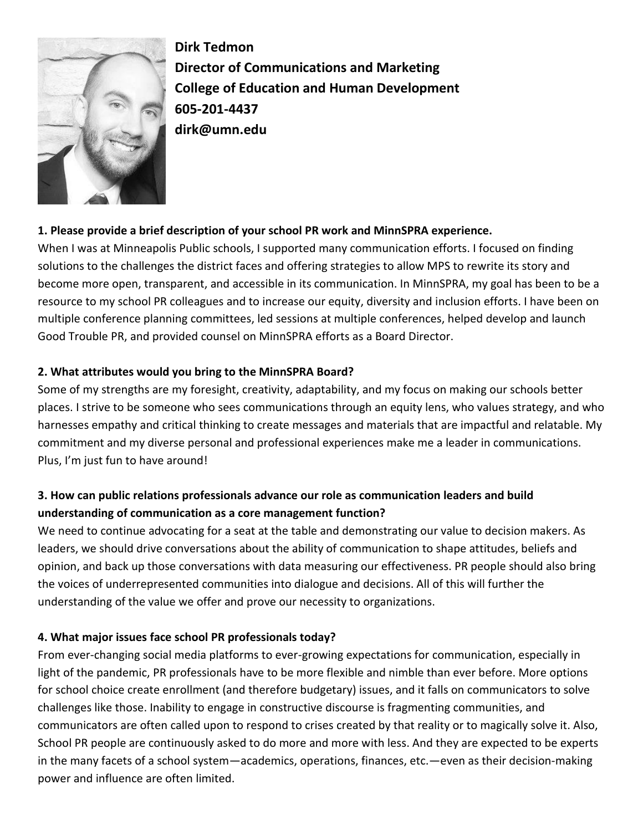

**Dirk Tedmon Director of Communications and Marketing College of Education and Human Development 605-201-4437 dirk@umn.edu**

#### **1. Please provide a brief description of your school PR work and MinnSPRA experience.**

When I was at Minneapolis Public schools, I supported many communication efforts. I focused on finding solutions to the challenges the district faces and offering strategies to allow MPS to rewrite its story and become more open, transparent, and accessible in its communication. In MinnSPRA, my goal has been to be a resource to my school PR colleagues and to increase our equity, diversity and inclusion efforts. I have been on multiple conference planning committees, led sessions at multiple conferences, helped develop and launch Good Trouble PR, and provided counsel on MinnSPRA efforts as a Board Director.

# **2. What attributes would you bring to the MinnSPRA Board?**

Some of my strengths are my foresight, creativity, adaptability, and my focus on making our schools better places. I strive to be someone who sees communications through an equity lens, who values strategy, and who harnesses empathy and critical thinking to create messages and materials that are impactful and relatable. My commitment and my diverse personal and professional experiences make me a leader in communications. Plus, I'm just fun to have around!

# **3. How can public relations professionals advance our role as communication leaders and build understanding of communication as a core management function?**

We need to continue advocating for a seat at the table and demonstrating our value to decision makers. As leaders, we should drive conversations about the ability of communication to shape attitudes, beliefs and opinion, and back up those conversations with data measuring our effectiveness. PR people should also bring the voices of underrepresented communities into dialogue and decisions. All of this will further the understanding of the value we offer and prove our necessity to organizations.

# **4. What major issues face school PR professionals today?**

From ever-changing social media platforms to ever-growing expectations for communication, especially in light of the pandemic, PR professionals have to be more flexible and nimble than ever before. More options for school choice create enrollment (and therefore budgetary) issues, and it falls on communicators to solve challenges like those. Inability to engage in constructive discourse is fragmenting communities, and communicators are often called upon to respond to crises created by that reality or to magically solve it. Also, School PR people are continuously asked to do more and more with less. And they are expected to be experts in the many facets of a school system—academics, operations, finances, etc.—even as their decision-making power and influence are often limited.